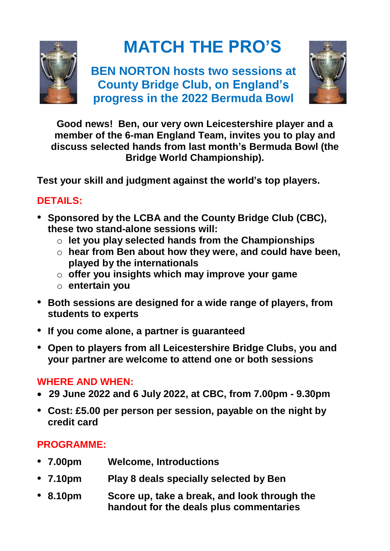

# **MATCH THE PRO'S**

**BEN NORTON hosts two sessions at County Bridge Club, on England's progress in the 2022 Bermuda Bowl**



**Good news! Ben, our very own Leicestershire player and a member of the 6-man England Team, invites you to play and discuss selected hands from last month's Bermuda Bowl (the Bridge World Championship).**

**Test your skill and judgment against the world's top players.**

## **DETAILS:**

- **Sponsored by the LCBA and the County Bridge Club (CBC), these two stand-alone sessions will:**
	- o **let you play selected hands from the Championships**
	- o **hear from Ben about how they were, and could have been, played by the internationals**
	- o **offer you insights which may improve your game**
	- o **entertain you**
- **Both sessions are designed for a wide range of players, from students to experts**
- **If you come alone, a partner is guaranteed**
- **Open to players from all Leicestershire Bridge Clubs, you and your partner are welcome to attend one or both sessions**

#### **WHERE AND WHEN:**

- **29 June 2022 and 6 July 2022, at CBC, from 7.00pm - 9.30pm**
- **Cost: £5.00 per person per session, payable on the night by credit card**

# **PROGRAMME:**

- **7.00pm Welcome, Introductions**
- **7.10pm Play 8 deals specially selected by Ben**
- **8.10pm Score up, take a break, and look through the handout for the deals plus commentaries**